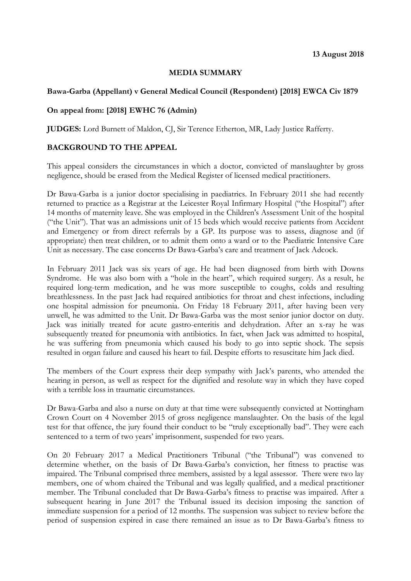#### **MEDIA SUMMARY**

#### **Bawa-Garba (Appellant) v General Medical Council (Respondent) [2018] EWCA Civ 1879**

### **On appeal from: [2018] EWHC 76 (Admin)**

**JUDGES:** Lord Burnett of Maldon, CJ, Sir Terence Etherton, MR, Lady Justice Rafferty.

#### **BACKGROUND TO THE APPEAL**

This appeal considers the circumstances in which a doctor, convicted of manslaughter by gross negligence, should be erased from the Medical Register of licensed medical practitioners.

Dr Bawa-Garba is a junior doctor specialising in paediatrics. In February 2011 she had recently returned to practice as a Registrar at the Leicester Royal Infirmary Hospital ("the Hospital") after 14 months of maternity leave. She was employed in the Children's Assessment Unit of the hospital ("the Unit"). That was an admissions unit of 15 beds which would receive patients from Accident and Emergency or from direct referrals by a GP. Its purpose was to assess, diagnose and (if appropriate) then treat children, or to admit them onto a ward or to the Paediatric Intensive Care Unit as necessary. The case concerns Dr Bawa-Garba's care and treatment of Jack Adcock.

In February 2011 Jack was six years of age. He had been diagnosed from birth with Downs Syndrome. He was also born with a "hole in the heart", which required surgery. As a result, he required long-term medication, and he was more susceptible to coughs, colds and resulting breathlessness. In the past Jack had required antibiotics for throat and chest infections, including one hospital admission for pneumonia. On Friday 18 February 2011, after having been very unwell, he was admitted to the Unit. Dr Bawa-Garba was the most senior junior doctor on duty. Jack was initially treated for acute gastro-enteritis and dehydration. After an x-ray he was subsequently treated for pneumonia with antibiotics. In fact, when Jack was admitted to hospital, he was suffering from pneumonia which caused his body to go into septic shock. The sepsis resulted in organ failure and caused his heart to fail. Despite efforts to resuscitate him Jack died.

The members of the Court express their deep sympathy with Jack's parents, who attended the hearing in person, as well as respect for the dignified and resolute way in which they have coped with a terrible loss in traumatic circumstances.

Dr Bawa-Garba and also a nurse on duty at that time were subsequently convicted at Nottingham Crown Court on 4 November 2015 of gross negligence manslaughter. On the basis of the legal test for that offence, the jury found their conduct to be "truly exceptionally bad". They were each sentenced to a term of two years' imprisonment, suspended for two years.

On 20 February 2017 a Medical Practitioners Tribunal ("the Tribunal") was convened to determine whether, on the basis of Dr Bawa-Garba's conviction, her fitness to practise was impaired. The Tribunal comprised three members, assisted by a legal assessor. There were two lay members, one of whom chaired the Tribunal and was legally qualified, and a medical practitioner member. The Tribunal concluded that Dr Bawa-Garba's fitness to practise was impaired. After a subsequent hearing in June 2017 the Tribunal issued its decision imposing the sanction of immediate suspension for a period of 12 months. The suspension was subject to review before the period of suspension expired in case there remained an issue as to Dr Bawa-Garba's fitness to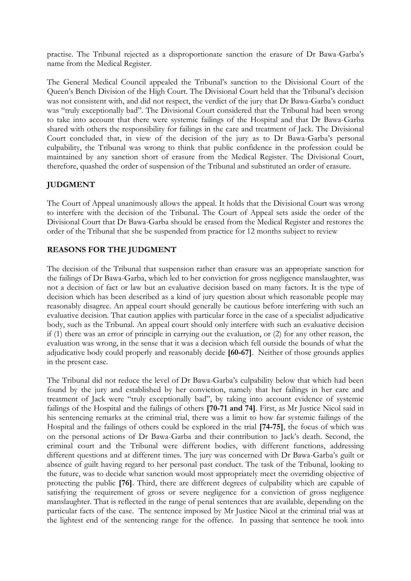practise. The Tribunal rejected as a disproportionate sanction the erasure of Dr Bawa-Garba's name from the Medical Register.

The General Medical Council appealed the Tribunal's sanction to the Divisional Court of the Queen's Bench Division of the High Court. The Divisional Court held that the Tribunal's decision was not consistent with, and did not respect, the verdict of the jury that Dr Bawa-Garba's conduct was "truly exceptionally bad". The Divisional Court considered that the Tribunal had been wrong to take into account that there were systemic failings of the Hospital and that Dr Bawa-Garba shared with others the responsibility for failings in the care and treatment of Jack. The Divisional Court concluded that, in view of the decision of the jury as to Dr Bawa-Garba's personal culpability, the Tribunal was wrong to think that public confidence in the profession could be maintained by any sanction short of erasure from the Medical Register. The Divisional Court, therefore, quashed the order of suspension of the Tribunal and substituted an order of erasure.

# **JUDGMENT**

The Court of Appeal unanimously allows the appeal. It holds that the Divisional Court was wrong to interfere with the decision of the Tribunal. The Court of Appeal sets aside the order of the Divisional Court that Dr Bawa-Garba should be erased from the Medical Register and restores the order of the Tribunal that she be suspended from practice for 12 months subject to review

# **REASONS FOR THE JUDGMENT**

The decision of the Tribunal that suspension rather than erasure was an appropriate sanction for the failings of Dr Bawa-Garba, which led to her conviction for gross negligence manslaughter, was not a decision of fact or law but an evaluative decision based on many factors. It is the type of decision which has been described as a kind of jury question about which reasonable people may reasonably disagree. An appeal court should generally be cautious before interfering with such an evaluative decision. That caution applies with particular force in the case of a specialist adjudicative body, such as the Tribunal. An appeal court should only interfere with such an evaluative decision if (1) there was an error of principle in carrying out the evaluation, or (2) for any other reason, the evaluation was wrong, in the sense that it was a decision which fell outside the bounds of what the adjudicative body could properly and reasonably decide **[60-67]**. Neither of those grounds applies in the present case.

The Tribunal did not reduce the level of Dr Bawa-Garba's culpability below that which had been found by the jury and established by her conviction, namely that her failings in her care and treatment of Jack were "truly exceptionally bad", by taking into account evidence of systemic failings of the Hospital and the failings of others **[70-71 and 74]**. First, as Mr Justice Nicol said in his sentencing remarks at the criminal trial, there was a limit to how far systemic failings of the Hospital and the failings of others could be explored in the trial **[74-75]**, the focus of which was on the personal actions of Dr Bawa-Garba and their contribution to Jack's death. Second, the criminal court and the Tribunal were different bodies, with different functions, addressing different questions and at different times. The jury was concerned with Dr Bawa-Garba's guilt or absence of guilt having regard to her personal past conduct. The task of the Tribunal, looking to the future, was to decide what sanction would most appropriately meet the overriding objective of protecting the public **[76]**. Third, there are different degrees of culpability which are capable of satisfying the requirement of gross or severe negligence for a conviction of gross negligence manslaughter. That is reflected in the range of penal sentences that are available, depending on the particular facts of the case. The sentence imposed by Mr Justice Nicol at the criminal trial was at the lightest end of the sentencing range for the offence. In passing that sentence he took into